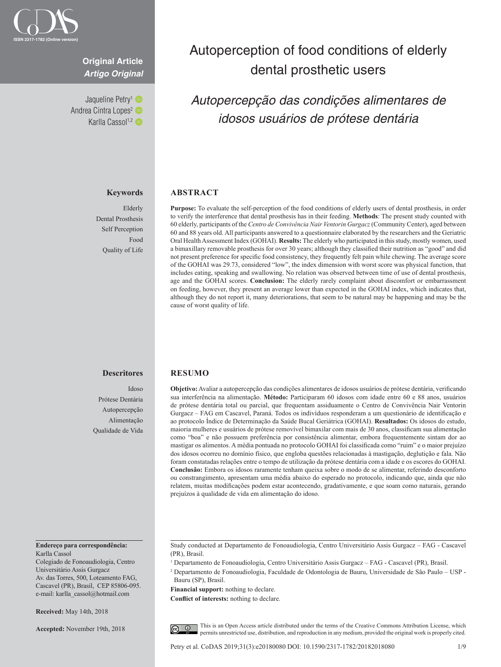

### **Original Article** *Artigo Original*

Jaqueline Petry<sup>1</sup> Andrea Cintra Lopes<sup>2</sup> Karlla Cassol<sup>1,2</sup>

#### **Keywords**

Elderly Dental Prosthesis Self Perception Food Quality of Life

# Autoperception of food conditions of elderly dental prosthetic users

## *Autopercepção das condições alimentares de idosos usuários de prótese dentária*

### **ABSTRACT**

**Purpose:** To evaluate the self-perception of the food conditions of elderly users of dental prosthesis, in order to verify the interference that dental prosthesis has in their feeding. **Methods**: The present study counted with 60 elderly, participants of the *Centro de Convivência Nair Ventorin Gurgacz* (Community Center), aged between 60 and 88 years old. All participants answered to a questionnaire elaborated by the researchers and the Geriatric Oral Health Assessment Index (GOHAI). **Results:** The elderly who participated in this study, mostly women, used a bimaxillary removable prosthesis for over 30 years; although they classified their nutrition as "good" and did not present preference for specific food consistency, they frequently felt pain while chewing. The average score of the GOHAI was 29.73, considered "low", the index dimension with worst score was physical function, that includes eating, speaking and swallowing. No relation was observed between time of use of dental prosthesis, age and the GOHAI scores. **Conclusion:** The elderly rarely complaint about discomfort or embarrassment on feeding, however, they present an average lower than expected in the GOHAI index, which indicates that, although they do not report it, many deteriorations, that seem to be natural may be happening and may be the cause of worst quality of life.

#### **Descritores**

Idoso Prótese Dentária Autopercepção Alimentação Qualidade de Vida

#### **Endereço para correspondência:** Karlla Cassol

Colegiado de Fonoaudiologia, Centro Universitário Assis Gurgacz Av. das Torres, 500, Loteamento FAG, Cascavel (PR), Brasil, CEP 85806-095. e-mail: karlla\_cassol@hotmail.com

**Received:** May 14th, 2018

**Accepted:** November 19th, 2018

#### **RESUMO**

**Objetivo:** Avaliar a autopercepção das condições alimentares de idosos usuários de prótese dentária, verificando sua interferência na alimentação. **Método:** Participaram 60 idosos com idade entre 60 e 88 anos, usuários de prótese dentária total ou parcial, que frequentam assiduamente o Centro de Convivência Nair Ventorin Gurgacz – FAG em Cascavel, Paraná. Todos os indivíduos responderam a um questionário de identificação e ao protocolo Índice de Determinação da Saúde Bucal Geriátrica (GOHAI). **Resultados:** Os idosos do estudo, maioria mulheres e usuários de prótese removível bimaxilar com mais de 30 anos, classificam sua alimentação como "boa" e não possuem preferência por consistência alimentar, embora frequentemente sintam dor ao mastigar os alimentos. A média pontuada no protocolo GOHAI foi classificada como "ruim" e o maior prejuízo dos idosos ocorreu no domínio físico, que engloba questões relacionadas à mastigação, deglutição e fala. Não foram constatadas relações entre o tempo de utilização da prótese dentária com a idade e os escores do GOHAI. **Conclusão:** Embora os idosos raramente tenham queixa sobre o modo de se alimentar, referindo desconforto ou constrangimento, apresentam uma média abaixo do esperado no protocolo, indicando que, ainda que não relatem, muitas modificações podem estar acontecendo, gradativamente, e que soam como naturais, gerando prejuízos à qualidade de vida em alimentação do idoso.

**Financial support:** nothing to declare.

**Conflict of interests:** nothing to declare.

This is an Open Access article distributed under the terms of the Creative Commons Attribution License, which  $\odot$ permits unrestricted use, distribution, and reproduction in any medium, provided the original work is properly cited.

Study conducted at Departamento de Fonoaudiologia, Centro Universitário Assis Gurgacz – FAG - Cascavel (PR), Brasil.

<sup>1</sup> Departamento de Fonoaudiologia, Centro Universitário Assis Gurgacz – FAG - Cascavel (PR), Brasil.

<sup>2</sup> Departamento de Fonoaudiologia, Faculdade de Odontologia de Bauru, Universidade de São Paulo – USP - Bauru (SP), Brasil.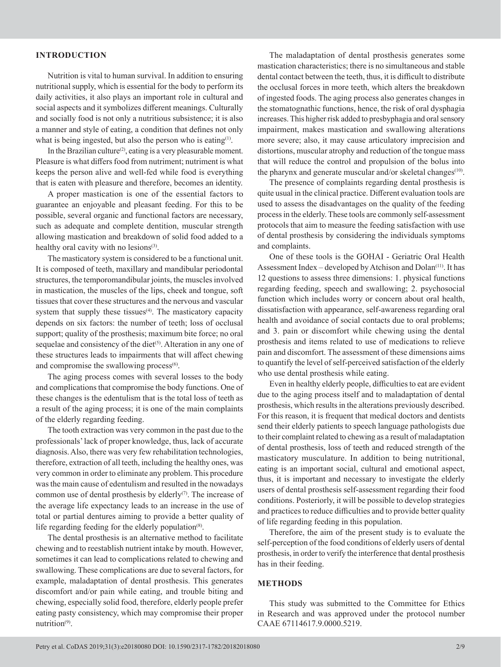#### **INTRODUCTION**

Nutrition is vital to human survival. In addition to ensuring nutritional supply, which is essential for the body to perform its daily activities, it also plays an important role in cultural and social aspects and it symbolizes different meanings. Culturally and socially food is not only a nutritious subsistence; it is also a manner and style of eating, a condition that defines not only what is being ingested, but also the person who is eating $(1)$ .

In the Brazilian culture<sup>(2)</sup>, eating is a very pleasurable moment. Pleasure is what differs food from nutriment; nutriment is what keeps the person alive and well-fed while food is everything that is eaten with pleasure and therefore, becomes an identity.

A proper mastication is one of the essential factors to guarantee an enjoyable and pleasant feeding. For this to be possible, several organic and functional factors are necessary, such as adequate and complete dentition, muscular strength allowing mastication and breakdown of solid food added to a healthy oral cavity with no lesions<sup>(3)</sup>.

The masticatory system is considered to be a functional unit. It is composed of teeth, maxillary and mandibular periodontal structures, the temporomandibular joints, the muscles involved in mastication, the muscles of the lips, cheek and tongue, soft tissues that cover these structures and the nervous and vascular system that supply these tissues<sup>(4)</sup>. The masticatory capacity depends on six factors: the number of teeth; loss of occlusal support; quality of the prosthesis; maximum bite force; no oral sequelae and consistency of the diet<sup>(5)</sup>. Alteration in any one of these structures leads to impairments that will affect chewing and compromise the swallowing process<sup>(6)</sup>.

The aging process comes with several losses to the body and complications that compromise the body functions. One of these changes is the edentulism that is the total loss of teeth as a result of the aging process; it is one of the main complaints of the elderly regarding feeding.

The tooth extraction was very common in the past due to the professionals' lack of proper knowledge, thus, lack of accurate diagnosis. Also, there was very few rehabilitation technologies, therefore, extraction of all teeth, including the healthy ones, was very common in order to eliminate any problem. This procedure was the main cause of edentulism and resulted in the nowadays common use of dental prosthesis by elderly $(7)$ . The increase of the average life expectancy leads to an increase in the use of total or partial dentures aiming to provide a better quality of life regarding feeding for the elderly population<sup>(8)</sup>.

The dental prosthesis is an alternative method to facilitate chewing and to reestablish nutrient intake by mouth. However, sometimes it can lead to complications related to chewing and swallowing. These complications are due to several factors, for example, maladaptation of dental prosthesis. This generates discomfort and/or pain while eating, and trouble biting and chewing, especially solid food, therefore, elderly people prefer eating pasty consistency, which may compromise their proper nutrition<sup>(9)</sup>.

The maladaptation of dental prosthesis generates some mastication characteristics; there is no simultaneous and stable dental contact between the teeth, thus, it is difficult to distribute the occlusal forces in more teeth, which alters the breakdown of ingested foods. The aging process also generates changes in the stomatognathic functions, hence, the risk of oral dysphagia increases. This higher risk added to presbyphagia and oral sensory impairment, makes mastication and swallowing alterations more severe; also, it may cause articulatory imprecision and distortions, muscular atrophy and reduction of the tongue mass that will reduce the control and propulsion of the bolus into the pharynx and generate muscular and/or skeletal changes<sup>(10)</sup>.

The presence of complaints regarding dental prosthesis is quite usual in the clinical practice. Different evaluation tools are used to assess the disadvantages on the quality of the feeding process in the elderly. These tools are commonly self-assessment protocols that aim to measure the feeding satisfaction with use of dental prosthesis by considering the individuals symptoms and complaints.

One of these tools is the GOHAI - Geriatric Oral Health Assessment Index – developed by Atchison and Dolan<sup>(11)</sup>. It has 12 questions to assess three dimensions: 1. physical functions regarding feeding, speech and swallowing; 2. psychosocial function which includes worry or concern about oral health, dissatisfaction with appearance, self-awareness regarding oral health and avoidance of social contacts due to oral problems; and 3. pain or discomfort while chewing using the dental prosthesis and items related to use of medications to relieve pain and discomfort. The assessment of these dimensions aims to quantify the level of self-perceived satisfaction of the elderly who use dental prosthesis while eating.

Even in healthy elderly people, difficulties to eat are evident due to the aging process itself and to maladaptation of dental prosthesis, which results in the alterations previously described. For this reason, it is frequent that medical doctors and dentists send their elderly patients to speech language pathologists due to their complaint related to chewing as a result of maladaptation of dental prosthesis, loss of teeth and reduced strength of the masticatory musculature. In addition to being nutritional, eating is an important social, cultural and emotional aspect, thus, it is important and necessary to investigate the elderly users of dental prosthesis self-assessment regarding their food conditions. Posteriorly, it will be possible to develop strategies and practices to reduce difficulties and to provide better quality of life regarding feeding in this population.

Therefore, the aim of the present study is to evaluate the self-perception of the food conditions of elderly users of dental prosthesis, in order to verify the interference that dental prosthesis has in their feeding.

#### **METHODS**

This study was submitted to the Committee for Ethics in Research and was approved under the protocol number CAAE 67114617.9.0000.5219.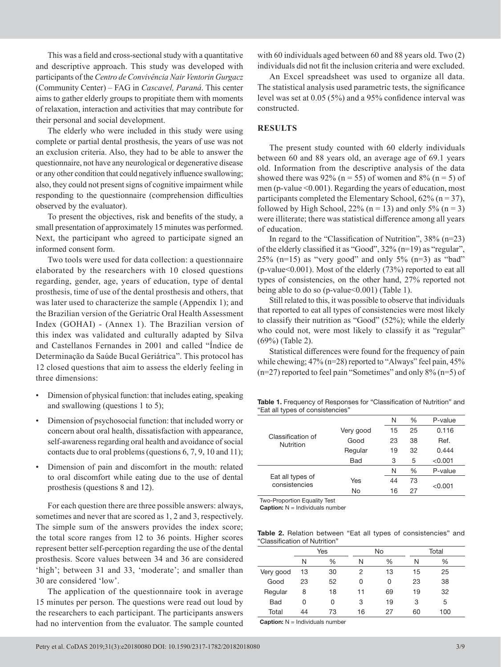This was a field and cross-sectional study with a quantitative and descriptive approach. This study was developed with participants of the *Centro de Convivência Nair Ventorin Gurgacz* (Community Center) – FAG in *Cascavel, Paraná*. This center aims to gather elderly groups to propitiate them with moments of relaxation, interaction and activities that may contribute for their personal and social development.

The elderly who were included in this study were using complete or partial dental prosthesis, the years of use was not an exclusion criteria. Also, they had to be able to answer the questionnaire, not have any neurological or degenerative disease or any other condition that could negatively influence swallowing; also, they could not present signs of cognitive impairment while responding to the questionnaire (comprehension difficulties observed by the evaluator).

To present the objectives, risk and benefits of the study, a small presentation of approximately 15 minutes was performed. Next, the participant who agreed to participate signed an informed consent form.

Two tools were used for data collection: a questionnaire elaborated by the researchers with 10 closed questions regarding, gender, age, years of education, type of dental prosthesis, time of use of the dental prosthesis and others, that was later used to characterize the sample (Appendix 1); and the Brazilian version of the Geriatric Oral Health Assessment Index (GOHAI) - (Annex 1). The Brazilian version of this index was validated and culturally adapted by Silva and Castellanos Fernandes in 2001 and called "Índice de Determinação da Saúde Bucal Geriátrica". This protocol has 12 closed questions that aim to assess the elderly feeling in three dimensions:

- Dimension of physical function: that includes eating, speaking and swallowing (questions 1 to 5);
- Dimension of psychosocial function: that included worry or concern about oral health, dissatisfaction with appearance, self-awareness regarding oral health and avoidance of social contacts due to oral problems (questions 6, 7, 9, 10 and 11);
- Dimension of pain and discomfort in the mouth: related to oral discomfort while eating due to the use of dental prosthesis (questions 8 and 12).

For each question there are three possible answers: always, sometimes and never that are scored as 1, 2 and 3, respectively. The simple sum of the answers provides the index score; the total score ranges from 12 to 36 points. Higher scores represent better self-perception regarding the use of the dental prosthesis. Score values between 34 and 36 are considered 'high'; between 31 and 33, 'moderate'; and smaller than 30 are considered 'low'.

The application of the questionnaire took in average 15 minutes per person. The questions were read out loud by the researchers to each participant. The participants answers had no intervention from the evaluator. The sample counted

with 60 individuals aged between 60 and 88 years old. Two  $(2)$ individuals did not fit the inclusion criteria and were excluded.

An Excel spreadsheet was used to organize all data. The statistical analysis used parametric tests, the significance level was set at 0.05 (5%) and a 95% confidence interval was constructed.

#### **RESULTS**

The present study counted with 60 elderly individuals between 60 and 88 years old, an average age of 69.1 years old. Information from the descriptive analysis of the data showed there was 92% ( $n = 55$ ) of women and 8% ( $n = 5$ ) of men (p-value <0.001). Regarding the years of education, most participants completed the Elementary School,  $62\%$  (n = 37), followed by High School, 22% ( $n = 13$ ) and only 5% ( $n = 3$ ) were illiterate; there was statistical difference among all years of education.

In regard to the "Classification of Nutrition", 38% (n=23) of the elderly classified it as "Good", 32% (n=19) as "regular",  $25\%$  (n=15) as "very good" and only  $5\%$  (n=3) as "bad" (p-value<0.001). Most of the elderly (73%) reported to eat all types of consistencies, on the other hand, 27% reported not being able to do so (p-value  $0.001$ ) (Table 1).

Still related to this, it was possible to observe that individuals that reported to eat all types of consistencies were most likely to classify their nutrition as "Good" (52%); while the elderly who could not, were most likely to classify it as "regular" (69%) (Table 2).

Statistical differences were found for the frequency of pain while chewing;  $47\%$  (n=28) reported to "Always" feel pain,  $45\%$ (n=27) reported to feel pain "Sometimes" and only 8% (n=5) of

**Table 1.** Frequency of Responses for "Classification of Nutrition" and "Eat all types of consistencies"

| Classification of<br>Nutrition    |            | N  | %    | P-value |
|-----------------------------------|------------|----|------|---------|
|                                   | Very good  | 15 | 25   | 0.116   |
|                                   | Good       | 23 | 38   | Ref.    |
|                                   | Regular    | 19 | 32   | 0.444   |
|                                   | <b>Bad</b> | 3  | 5    | < 0.001 |
|                                   |            | N  | $\%$ | P-value |
| Eat all types of<br>consistencies | Yes        | 44 | 73   |         |
|                                   | No         | 16 | 27   | < 0.001 |

Two-Proportion Equality Test

**Caption:** N = Individuals number

**Table 2.** Relation between "Eat all types of consistencies" and "Classification of Nutrition"

|            | Yes |               |    | No            |    | Total |  |
|------------|-----|---------------|----|---------------|----|-------|--|
|            | N   | $\frac{0}{0}$ | N  | $\frac{0}{0}$ | N  | ℅     |  |
| Very good  | 13  | 30            | 2  | 13            | 15 | 25    |  |
| Good       | 23  | 52            | 0  | O             | 23 | 38    |  |
| Regular    | 8   | 18            | 11 | 69            | 19 | 32    |  |
| <b>Bad</b> | 0   | 0             | 3  | 19            | 3  | 5     |  |
| Total      | 44  | 73            | 16 | 27            | 60 | 100   |  |

**Caption:** N = Individuals number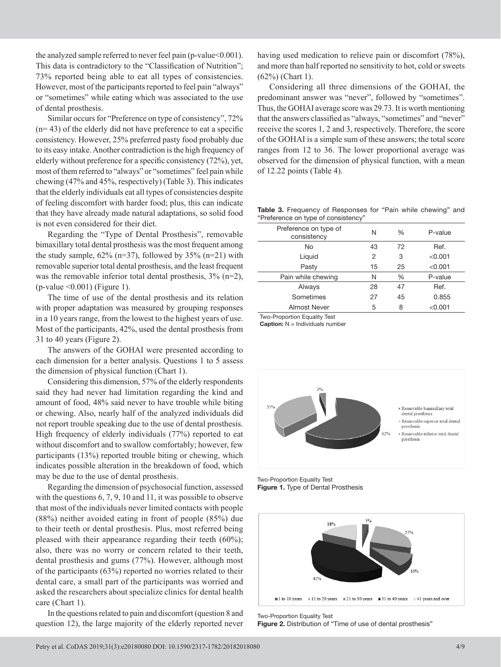the analyzed sample referred to never feel pain (p-value < 0.001). This data is contradictory to the "Classification of Nutrition"; 73% reported being able to eat all types of consistencies. However, most of the participants reported to feel pain "always" or "sometimes" while eating which was associated to the use of dental prosthesis.

Similar occurs for "Preference on type of consistency", 72%  $(n= 43)$  of the elderly did not have preference to eat a specific consistency. However, 25% preferred pasty food probably due to its easy intake. Another contradiction is the high frequency of elderly without preference for a specific consistency (72%), yet, most of them referred to "always" or "sometimes" feel pain while chewing (47% and 45%, respectively) (Table 3). This indicates that the elderly individuals eat all types of consistencies despite of feeling discomfort with harder food; plus, this can indicate that they have already made natural adaptations, so solid food is not even considered for their diet.

Regarding the "Type of Dental Prosthesis", removable bimaxillary total dental prosthesis was the most frequent among the study sample,  $62\%$  (n=37), followed by 35% (n=21) with removable superior total dental prosthesis, and the least frequent was the removable inferior total dental prosthesis,  $3\%$  (n=2), (p-value <0.001) (Figure 1).

The time of use of the dental prosthesis and its relation with proper adaptation was measured by grouping responses in a 10 years range, from the lowest to the highest years of use. Most of the participants, 42%, used the dental prosthesis from 31 to 40 years (Figure 2).

The answers of the GOHAI were presented according to each dimension for a better analysis. Questions 1 to 5 assess the dimension of physical function (Chart 1).

Considering this dimension, 57% of the elderly respondents said they had never had limitation regarding the kind and amount of food, 48% said never to have trouble while biting or chewing. Also, nearly half of the analyzed individuals did not report trouble speaking due to the use of dental prosthesis. High frequency of elderly individuals (77%) reported to eat without discomfort and to swallow comfortably; however, few participants (13%) reported trouble biting or chewing, which indicates possible alteration in the breakdown of food, which may be due to the use of dental prosthesis.

Regarding the dimension of psychosocial function, assessed with the questions 6, 7, 9, 10 and 11, it was possible to observe that most of the individuals never limited contacts with people (88%) neither avoided eating in front of people (85%) due to their teeth or dental prosthesis. Plus, most referred being pleased with their appearance regarding their teeth (60%); also, there was no worry or concern related to their teeth, dental prosthesis and gums (77%). However, although most of the participants (63%) reported no worries related to their dental care, a small part of the participants was worried and asked the researchers about specialize clinics for dental health care (Chart 1).

In the questions related to pain and discomfort (question 8 and question 12), the large majority of the elderly reported never having used medication to relieve pain or discomfort (78%). and more than half reported no sensitivity to hot, cold or sweets (62%) (Chart 1).

Considering all three dimensions of the GOHAI, the predominant answer was "never", followed by "sometimes". Thus, the GOHAI average score was 29.73. It is worth mentioning that the answers classified as "always, "sometimes" and "never" receive the scores 1, 2 and 3, respectively. Therefore, the score of the GOHAI is a simple sum of these answers; the total score ranges from 12 to 36. The lower proportional average was observed for the dimension of physical function, with a mean of 12.22 points (Table 4).

**Table 3.** Frequency of Responses for "Pain while chewing" and "Preference on type of consistency"

| Preference on type of<br>consistency | N  | %    | P-value |
|--------------------------------------|----|------|---------|
| No                                   | 43 | 72   | Ref.    |
| Liquid                               | 2  | 3    | < 0.001 |
| Pasty                                | 15 | 25   | < 0.001 |
| Pain while chewing                   | N  | $\%$ | P-value |
| Always                               | 28 | 47   | Ref.    |
| Sometimes                            | 27 | 45   | 0.855   |
| Almost Never                         | 5  | 8    | < 0.001 |
|                                      |    |      |         |

Two-Proportion Equality Test

**Caption:** N = Individuals number



Two-Proportion Equality Test **Figure 1.** Type of Dental Prosthesis



Two-Proportion Equality Test **Figure 2.** Distribution of "Time of use of dental prosthesis"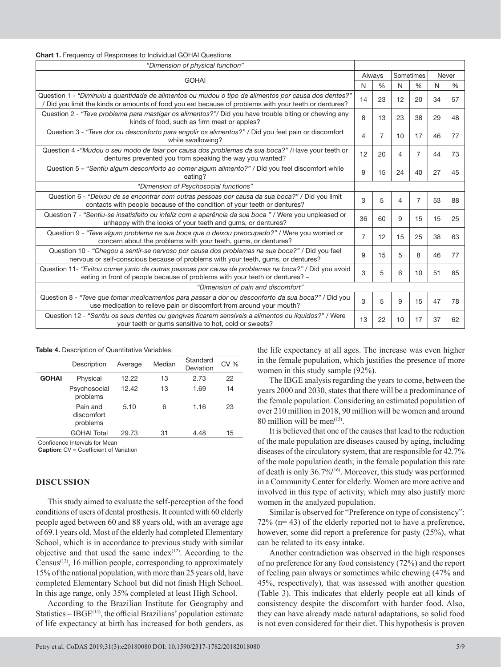| <b>Chart 1.</b> Frequency of Responses to Individual GOHAI Questions |
|----------------------------------------------------------------------|
|----------------------------------------------------------------------|

| "Dimension of physical function"                                                                                                                                                                               |                |                |    |                |    |               |  |
|----------------------------------------------------------------------------------------------------------------------------------------------------------------------------------------------------------------|----------------|----------------|----|----------------|----|---------------|--|
| <b>GOHAI</b>                                                                                                                                                                                                   |                | Always         |    | Sometimes      |    | Never         |  |
|                                                                                                                                                                                                                | N              | $\frac{0}{6}$  | N  | $\%$           | N  | $\frac{0}{0}$ |  |
| "Question 1 - "Diminuiu a quantidade de alimentos ou mudou o tipo de alimentos por causa dos dentes?"<br>/ Did you limit the kinds or amounts of food you eat because of problems with your teeth or dentures? | 14             | 23             | 12 | 20             | 34 | 57            |  |
| Question 2 - "Teve problema para mastigar os alimentos?"/ Did you have trouble biting or chewing any<br>kinds of food, such as firm meat or apples?                                                            | 8              | 13             | 23 | 38             | 29 | 48            |  |
| Question 3 - "Teve dor ou desconforto para engolir os alimentos?" / Did you feel pain or discomfort<br>while swallowing?                                                                                       | 4              | $\overline{7}$ | 10 | 17             | 46 | 77            |  |
| Question 4 - "Mudou o seu modo de falar por causa dos problemas da sua boca?" / Have your teeth or<br>dentures prevented you from speaking the way you wanted?                                                 | 12             | 20             | 4  | $\overline{7}$ | 44 | 73            |  |
| Question 5 - "Sentiu algum desconforto ao comer algum alimento?" / Did you feel discomfort while<br>eating?                                                                                                    | 9              | 15             | 24 | 40             | 27 | 45            |  |
| "Dimension of Psychosocial functions"                                                                                                                                                                          |                |                |    |                |    |               |  |
| Question 6 - "Deixou de se encontrar com outras pessoas por causa da sua boca?" / Did you limit<br>contacts with people because of the condition of your teeth or dentures?                                    | 3              | 5              | 4  | $\overline{7}$ | 53 | 88            |  |
| Question 7 - "Sentiu-se insatisfeito ou infeliz com a aparência da sua boca " / Were you unpleased or<br>unhappy with the looks of your teeth and gums, or dentures?                                           | 36             | 60             | 9  | 15             | 15 | 25            |  |
| Question 9 - "Teve algum problema na sua boca que o deixou preocupado?" / Were you worried or<br>concern about the problems with your teeth, gums, or dentures?                                                | $\overline{7}$ | 12             | 15 | 25             | 38 | 63            |  |
| Question 10 - "Chegou a sentir-se nervoso por causa dos problemas na sua boca?" / Did you feel<br>nervous or self-conscious because of problems with your teeth, gums, or dentures?                            | 9              | 15             | 5  | 8              | 46 | 77            |  |
| Question 11- "Evitou comer junto de outras pessoas por causa de problemas na boca?" / Did you avoid<br>eating in front of people because of problems with your teeth or dentures? -                            | 3              | 5              | 6  | 10             | 51 | 85            |  |
| "Dimension of pain and discomfort"                                                                                                                                                                             |                |                |    |                |    |               |  |
| Question 8 - "Teve que tomar medicamentos para passar a dor ou desconforto da sua boca?" / Did you<br>use medication to relieve pain or discomfort from around your mouth?                                     | 3              | 5              | 9  | 15             | 47 | 78            |  |
| Question 12 - "Sentiu os seus dentes ou gengivas ficarem sensíveis a alimentos ou líquidos?" / Were<br>your teeth or gums sensitive to hot, cold or sweets?                                                    | 13             | 22             | 10 | 17             | 37 | 62            |  |

**Table 4.** Description of Quantitative Variables

|              | Description                        | Average | Median | Standard<br>Deviation | <b>CV %</b> |
|--------------|------------------------------------|---------|--------|-----------------------|-------------|
| <b>GOHAI</b> | Physical                           | 12.22   | 13     | 2.73                  | 22          |
|              | Psychosocial<br>problems           | 12.42   | 13     | 1.69                  | 14          |
|              | Pain and<br>discomfort<br>problems | 5.10    | 6      | 1.16                  | 23          |
|              | <b>GOHAI Total</b>                 | 29.73   | 31     | 4.48                  | 15          |

Confidence Intervals for Mean

**Caption:** CV = Coefficient of Variation

#### **DISCUSSION**

This study aimed to evaluate the self-perception of the food conditions of users of dental prosthesis. It counted with 60 elderly people aged between 60 and 88 years old, with an average age of 69.1 years old. Most of the elderly had completed Elementary School, which is in accordance to previous study with similar objective and that used the same index $(12)$ . According to the Census<sup>(13)</sup>, 16 million people, corresponding to approximately 15% of the national population, with more than 25 years old, have completed Elementary School but did not finish High School. In this age range, only 35% completed at least High School.

According to the Brazilian Institute for Geography and Statistics  $-$  IBGE<sup> $(14)$ </sup>, the official Brazilians' population estimate of life expectancy at birth has increased for both genders, as

the life expectancy at all ages. The increase was even higher in the female population, which justifies the presence of more women in this study sample (92%).

The IBGE analysis regarding the years to come, between the years 2000 and 2030, states that there will be a predominance of the female population. Considering an estimated population of over 210 million in 2018, 90 million will be women and around 80 million will be men $(15)$ .

It is believed that one of the causes that lead to the reduction of the male population are diseases caused by aging, including diseases of the circulatory system, that are responsible for 42.7% of the male population death; in the female population this rate of death is only 36.7%(16) . Moreover, this study was performed in a Community Center for elderly. Women are more active and involved in this type of activity, which may also justify more women in the analyzed population.

Similar is observed for "Preference on type of consistency": 72% (n= 43) of the elderly reported not to have a preference, however, some did report a preference for pasty (25%), what can be related to its easy intake.

Another contradiction was observed in the high responses of no preference for any food consistency (72%) and the report of feeling pain always or sometimes while chewing (47% and 45%, respectively), that was assessed with another question (Table 3). This indicates that elderly people eat all kinds of consistency despite the discomfort with harder food. Also, they can have already made natural adaptations, so solid food is not even considered for their diet. This hypothesis is proven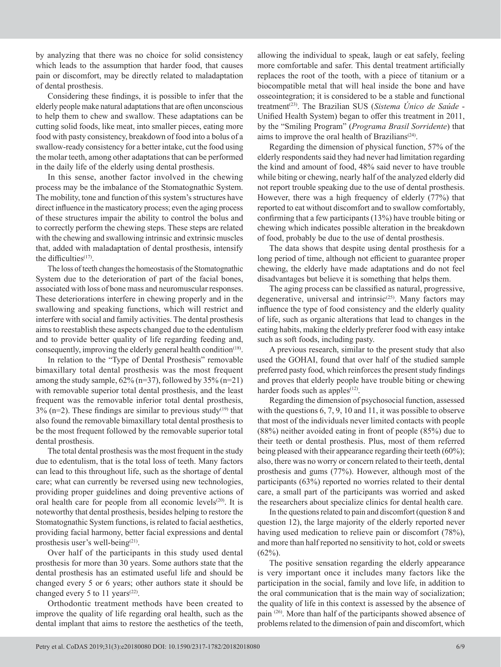by analyzing that there was no choice for solid consistency which leads to the assumption that harder food, that causes pain or discomfort, may be directly related to maladaptation of dental prosthesis.

Considering these findings, it is possible to infer that the elderly people make natural adaptations that are often unconscious to help them to chew and swallow. These adaptations can be cutting solid foods, like meat, into smaller pieces, eating more food with pasty consistency, breakdown of food into a bolus of a swallow-ready consistency for a better intake, cut the food using the molar teeth, among other adaptations that can be performed in the daily life of the elderly using dental prosthesis.

In this sense, another factor involved in the chewing process may be the imbalance of the Stomatognathic System. The mobility, tone and function of this system's structures have direct influence in the masticatory process; even the aging process of these structures impair the ability to control the bolus and to correctly perform the chewing steps. These steps are related with the chewing and swallowing intrinsic and extrinsic muscles that, added with maladaptation of dental prosthesis, intensify the difficulties $(17)$ .

The loss of teeth changes the homeostasis of the Stomatognathic System due to the deterioration of part of the facial bones, associated with loss of bone mass and neuromuscular responses. These deteriorations interfere in chewing properly and in the swallowing and speaking functions, which will restrict and interfere with social and family activities. The dental prosthesis aims to reestablish these aspects changed due to the edentulism and to provide better quality of life regarding feeding and, consequently, improving the elderly general health condition<sup>(18)</sup>.

In relation to the "Type of Dental Prosthesis" removable bimaxillary total dental prosthesis was the most frequent among the study sample,  $62\%$  (n=37), followed by  $35\%$  (n=21) with removable superior total dental prosthesis, and the least frequent was the removable inferior total dental prosthesis,  $3\%$  (n=2). These findings are similar to previous study<sup>(19)</sup> that also found the removable bimaxillary total dental prosthesis to be the most frequent followed by the removable superior total dental prosthesis.

The total dental prosthesis was the most frequent in the study due to edentulism, that is the total loss of teeth. Many factors can lead to this throughout life, such as the shortage of dental care; what can currently be reversed using new technologies, providing proper guidelines and doing preventive actions of oral health care for people from all economic levels<sup>(20)</sup>. It is noteworthy that dental prosthesis, besides helping to restore the Stomatognathic System functions, is related to facial aesthetics, providing facial harmony, better facial expressions and dental prosthesis user's well-being $(21)$ .

Over half of the participants in this study used dental prosthesis for more than 30 years. Some authors state that the dental prosthesis has an estimated useful life and should be changed every 5 or 6 years; other authors state it should be changed every 5 to 11 years<sup> $(22)$ </sup>.

Orthodontic treatment methods have been created to improve the quality of life regarding oral health, such as the dental implant that aims to restore the aesthetics of the teeth,

allowing the individual to speak, laugh or eat safely, feeling more comfortable and safer. This dental treatment artificially replaces the root of the tooth, with a piece of titanium or a biocompatible metal that will heal inside the bone and have osseointegration; it is considered to be a stable and functional treatment<sup>(23)</sup>. The Brazilian SUS (*Sistema Único de Saúde* -Unified Health System) began to offer this treatment in 2011, by the "Smiling Program" (*Programa Brasil Sorridente*) that aims to improve the oral health of Brazilians $(24)$ .

Regarding the dimension of physical function, 57% of the elderly respondents said they had never had limitation regarding the kind and amount of food, 48% said never to have trouble while biting or chewing, nearly half of the analyzed elderly did not report trouble speaking due to the use of dental prosthesis. However, there was a high frequency of elderly (77%) that reported to eat without discomfort and to swallow comfortably, confirming that a few participants (13%) have trouble biting or chewing which indicates possible alteration in the breakdown of food, probably be due to the use of dental prosthesis.

The data shows that despite using dental prosthesis for a long period of time, although not efficient to guarantee proper chewing, the elderly have made adaptations and do not feel disadvantages but believe it is something that helps them.

The aging process can be classified as natural, progressive, degenerative, universal and intrinsic<sup>(25)</sup>. Many factors may influence the type of food consistency and the elderly quality of life, such as organic alterations that lead to changes in the eating habits, making the elderly preferer food with easy intake such as soft foods, including pasty.

A previous research, similar to the present study that also used the GOHAI, found that over half of the studied sample preferred pasty food, which reinforces the present study findings and proves that elderly people have trouble biting or chewing harder foods such as apples $(12)$ .

Regarding the dimension of psychosocial function, assessed with the questions 6, 7, 9, 10 and 11, it was possible to observe that most of the individuals never limited contacts with people (88%) neither avoided eating in front of people (85%) due to their teeth or dental prosthesis. Plus, most of them referred being pleased with their appearance regarding their teeth (60%); also, there was no worry or concern related to their teeth, dental prosthesis and gums (77%). However, although most of the participants (63%) reported no worries related to their dental care, a small part of the participants was worried and asked the researchers about specialize clinics for dental health care.

In the questions related to pain and discomfort (question 8 and question 12), the large majority of the elderly reported never having used medication to relieve pain or discomfort (78%), and more than half reported no sensitivity to hot, cold or sweets  $(62\%)$ .

The positive sensation regarding the elderly appearance is very important once it includes many factors like the participation in the social, family and love life, in addition to the oral communication that is the main way of socialization; the quality of life in this context is assessed by the absence of pain (26) . More than half of the participants showed absence of problems related to the dimension of pain and discomfort, which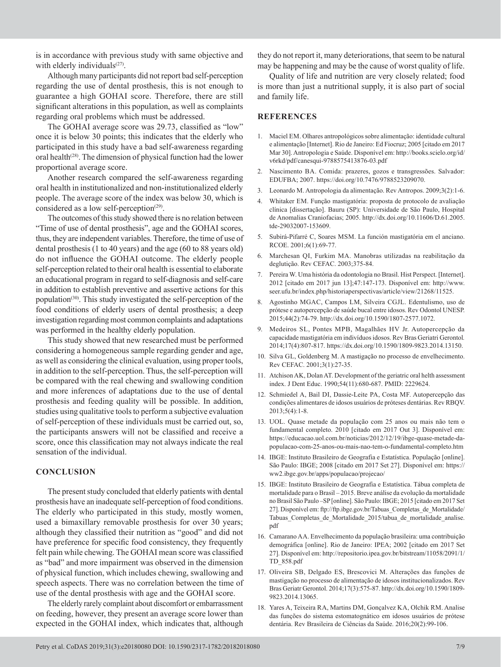is in accordance with previous study with same objective and with elderly individuals<sup>(27)</sup>.

Although many participants did not report bad self-perception regarding the use of dental prosthesis, this is not enough to guarantee a high GOHAI score. Therefore, there are still significant alterations in this population, as well as complaints regarding oral problems which must be addressed.

The GOHAI average score was 29.73, classified as "low" once it is below 30 points; this indicates that the elderly who participated in this study have a bad self-awareness regarding oral health<sup>(28)</sup>. The dimension of physical function had the lower proportional average score.

Another research compared the self-awareness regarding oral health in institutionalized and non-institutionalized elderly people. The average score of the index was below 30, which is considered as a low self-perception $(29)$ .

The outcomes of this study showed there is no relation between "Time of use of dental prosthesis", age and the GOHAI scores, thus, they are independent variables. Therefore, the time of use of dental prosthesis (1 to 40 years) and the age (60 to 88 years old) do not influence the GOHAI outcome. The elderly people self-perception related to their oral health is essential to elaborate an educational program in regard to self-diagnosis and self-care in addition to establish preventive and assertive actions for this population<sup>(30)</sup>. This study investigated the self-perception of the food conditions of elderly users of dental prosthesis; a deep investigation regarding most common complaints and adaptations was performed in the healthy elderly population.

This study showed that new researched must be performed considering a homogeneous sample regarding gender and age, as well as considering the clinical evaluation, using proper tools, in addition to the self-perception. Thus, the self-perception will be compared with the real chewing and swallowing condition and more inferences of adaptations due to the use of dental prosthesis and feeding quality will be possible. In addition, studies using qualitative tools to perform a subjective evaluation of self-perception of these individuals must be carried out, so, the participants answers will not be classified and receive a score, once this classification may not always indicate the real sensation of the individual.

#### **CONCLUSION**

The present study concluded that elderly patients with dental prosthesis have an inadequate self-perception of food conditions. The elderly who participated in this study, mostly women, used a bimaxillary removable prosthesis for over 30 years; although they classified their nutrition as "good" and did not have preference for specific food consistency, they frequently felt pain while chewing. The GOHAI mean score was classified as "bad" and more impairment was observed in the dimension of physical function, which includes chewing, swallowing and speech aspects. There was no correlation between the time of use of the dental prosthesis with age and the GOHAI score.

The elderly rarely complaint about discomfort or embarrassment on feeding, however, they present an average score lower than expected in the GOHAI index, which indicates that, although

they do not report it, many deteriorations, that seem to be natural may be happening and may be the cause of worst quality of life.

Quality of life and nutrition are very closely related; food is more than just a nutritional supply, it is also part of social and family life.

#### **REFERENCES**

- 1. Maciel EM. Olhares antropológicos sobre alimentação: identidade cultural e alimentação [Internet]. Rio de Janeiro: Ed Fiocruz; 2005 [citado em 2017 Mar 30]. Antropologia e Saúde. Disponível em: http://books.scielo.org/id/ v6rkd/pdf/canesqui-9788575413876-03.pdf
- 2. Nascimento BA. Comida: prazeres, gozos e transgressões. Salvador: EDUFBA; 2007. https://doi.org/10.7476/9788523209070.
- 3. Leonardo M. Antropologia da alimentação. Rev Antropos. 2009;3(2):1-6.
- 4. Whitaker EM. Função mastigatória: proposta de protocolo de avaliação clínica [dissertação]. Bauru (SP): Universidade de São Paulo, Hospital de Anomalias Craniofacias; 2005. [http://dx.doi.org/10.11606/D.61.2005.](http://dx.doi.org/10.11606/D.61.2005.tde-29032007-153609%20D.61.2005.tde-29032007-153609) [tde-29032007-153609](http://dx.doi.org/10.11606/D.61.2005.tde-29032007-153609%20D.61.2005.tde-29032007-153609).
- 5. Subirá-Pifarré C, Soares MSM. La función mastigatória em el anciano. RCOE. 2001;6(1):69-77.
- 6. Marchesan QI, Furkim MA. Manobras utilizadas na reabilitação da deglutição. Rev CEFAC. 2003;375-84.
- 7. Pereira W. Uma história da odontologia no Brasil. Hist Perspect. [Internet]. 2012 [citado em 2017 jun 13];47:147-173. Disponível em: [http://www.](http://www.seer.ufu.br/index.php/historiaperspectivas/article/view/21268/11525) [seer.ufu.br/index.php/historiaperspectivas/article/view/21268/11525.](http://www.seer.ufu.br/index.php/historiaperspectivas/article/view/21268/11525)
- 8. Agostinho MGAC, Campos LM, Silveira CGJL. Edentulismo, uso de prótese e autopercepção de saúde bucal entre idosos. Rev Odontol UNESP. 2015;44(2):74-79. [http://dx.doi.org/10.1590/1807-2577.1072.](https://doi.org/10.1590/1807-2577.1072)
- 9. Medeiros SL, Pontes MPB, Magalhães HV Jr. Autopercepção da capacidade mastigatória em indivíduos idosos. Rev Bras Geriatri Gerontol*.* 2014;17(4):807-817. [https://dx.doi.org/10.1590/1809-9823.2014.13150.](https://dx.doi.org/10.1590/1809-9823.2014.13150)
- 10. Silva GL, Goldenberg M. A mastigação no processo de envelhecimento. Rev CEFAC. 2001;3(1):27-35.
- 11. Atchison AK, Dolan AT. Development of the geriatric oral helth assessment index. J Dent Educ. 1990;54(11):680-687. PMID: 2229624.
- 12. Schmiedel A, Bail DI, Dassie-Leite PA, Costa MF. Autopercepção das condições alimentares de idosos usuários de próteses dentárias. Rev RBQV. 2013;5(4):1-8.
- 13. UOL. Quase metade da população com 25 anos ou mais não tem o fundamental completo. 2010 [citado em 2017 Out 3]. Disponível em: https://educacao.uol.com.br/noticias/2012/12/19/ibge-quase-metade-dapopulacao-com-25-anos-ou-mais-nao-tem-o-fundamental-completo.htm
- 14. IBGE: Instituto Brasileiro de Geografia e Estatística. População [online]. São Paulo: IBGE; 2008 [citado em 2017 Set 27]. Disponível em: https:// ww2.ibge.gov.br/apps/populacao/projecao/
- 15. IBGE: Instituto Brasileiro de Geografia e Estatística. Tábua completa de mortalidade para o Brasil – 2015. Breve análise da evolução da mortalidade no Brasil São Paulo –SP [online]. São Paulo: IBGE; 2015 [citado em 2017 Set 27]. Disponível em: ftp://ftp.ibge.gov.br/Tabuas\_Completas\_de\_Mortalidade/ Tabuas\_Completas\_de\_Mortalidade\_2015/tabua\_de\_mortalidade\_analise. pdf
- 16. Camarano AA. Envelhecimento da população brasileira: uma contribuição demográfica [online]. Rio de Janeiro: IPEA; 2002 [citado em 2017 Set 27]. Disponível em: http://repositorio.ipea.gov.br/bitstream/11058/2091/1/ TD\_858.pdf
- 17. Oliveira SB, Delgado ES, Brescovici M. Alterações das funções de mastigação no processo de alimentação de idosos institucionalizados. Rev Bras Geriatr Gerontol. 2014;17(3):575-87. [http://dx.doi.org/10.1590/1809-](https://doi.org/10.1590/1809-9823.2014.13065) [9823.2014.13065](https://doi.org/10.1590/1809-9823.2014.13065).
- 18. Yares A, Teixeira RA, Martins DM, Gonçalvez KA, Olchik RM. Analise das funções do sistema estomatognático em idosos usuários de prótese dentária. Rev Brasileira de Ciências da Saúde. 2016;20(2):99-106.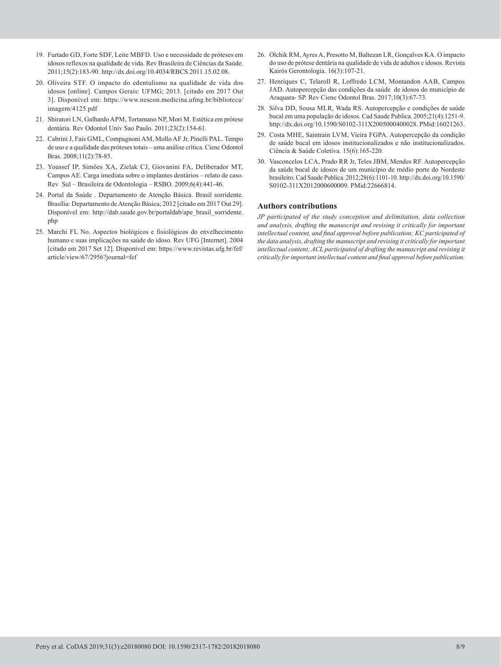- 19. Furtado GD, Forte SDF, Leite MBFD. Uso e necessidade de próteses em idosos reflexos na qualidade de vida. Rev Brasileira de Ciências da Saúde. 2011;15(2):183-90. http://dx.doi.org/10.4034/RBCS.2011.15.02.08.
- 20. Oliveira STF. O impacto do edentulismo na qualidade de vida dos idosos [online]. Campos Gerais: UFMG; 2013. [citado em 2017 Out 3]. Disponível em: https://www.nescon.medicina.ufmg.br/biblioteca/ imagem/4125.pdf
- 21. Shiratori LN, Galhardo APM, Tortamano NP, Mori M. Estética em prótese dentária. Rev Odontol Univ Sao Paulo. 2011;23(2):154-61.
- 22. Cabrini J, Fais GML, Compagnoni AM, Mollo AF Jr, Pinelli PAL. Tempo de uso e a qualidade das próteses totais – uma análise crítica. Cienc Odontol Bras. 2008;11(2):78-85.
- 23. Youssef IP, Simões XA, Zielak CJ, Giovanini FA, Deliberador MT, Campos AE. Carga imediata sobre o implantes dentários – relato de caso. Rev Sul – Brasileira de Odontologia – RSBO. 2009;6(4):441-46.
- 24. Portal da Saúde . Departamento de Atenção Básica. Brasil sorridente. Brasília: Departamento de Atenção Básica; 2012 [citado em 2017 Out 29]. Disponível em: http://dab.saude.gov.br/portaldab/ape\_brasil\_sorridente. php
- 25. Marchi FL No. Aspectos biológicos e fisiológicos do envelhecimento humano e suas implicações na saúde do idoso. Rev UFG [Internet]. 2004 [citado em 2017 Set 12]. Disponível em: https://www.revistas.ufg.br/fef/ article/view/67/2956?journal=fef
- 26. Olchik RM, Ayres A, Presotto M, Baltezan LR, Gonçalves KA. O impacto do uso de prótese dentária na qualidade de vida de adultos e idosos. Revista Kairós Gerontologia. 16(3):107-21.
- 27. Henriques C, Telaroll R, Loffredo LCM, Montandon AAB, Campos JAD. Autopercepção das condições da saúde de idosos do município de Araquara- SP. Rev Cienc Odontol Bras. 2017;10(3):67-73.
- 28. Silva DD, Sousa MLR, Wada RS. Autopercepção e condições de saúde bucal em uma população de idosos. Cad Saude Publica. 2005;21(4):1251-9. [http://dx.doi.org/10.1590/S0102-311X2005000400028](https://doi.org/10.1590/S0102-311X2005000400028)[. PMid:16021263.](https://www.ncbi.nlm.nih.gov/entrez/query.fcgi?cmd=Retrieve&db=PubMed&list_uids=16021263&dopt=Abstract)
- 29. Costa MHE, Saintrain LVM, Vieira FGPA. Autopercepção da condição de saúde bucal em idosos institucionalizados e não institucionalizados. Ciência & Saúde Coletiva. 15(6):165-220.
- 30. Vasconcelos LCA, Prado RR Jr, Teles JBM, Mendes RF. Autopercepção da saúde bucal de idosos de um município de médio porte do Nordeste brasileiro. Cad Saude Publica. 2012;28(6):1101-10. [http://dx.doi.org/10.1590/](https://doi.org/10.1590/S0102-311X2012000600009) [S0102-311X2012000600009.](https://doi.org/10.1590/S0102-311X2012000600009) [PMid:22666814.](https://www.ncbi.nlm.nih.gov/entrez/query.fcgi?cmd=Retrieve&db=PubMed&list_uids=22666814&dopt=Abstract)

#### **Authors contributions**

*JP participated of the study conception and delimitation, data collection and analysis, drafting the manuscript and revising it critically for important intellectual content, and final approval before publication; KC participated of the data analysis, drafting the manuscript and revising it critically for important intellectual content; ACL participated of drafting the manuscript and revising it critically for important intellectual content and final approval before publication.*